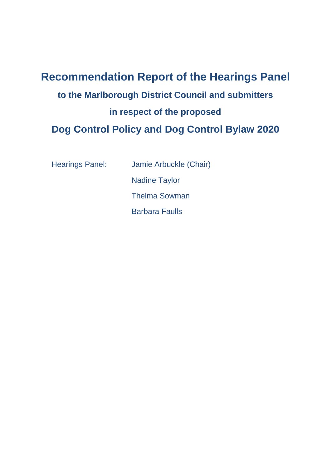# **Recommendation Report of the Hearings Panel to the Marlborough District Council and submitters in respect of the proposed Dog Control Policy and Dog Control Bylaw 2020**

Hearings Panel: Jamie Arbuckle (Chair) Nadine Taylor Thelma Sowman Barbara Faulls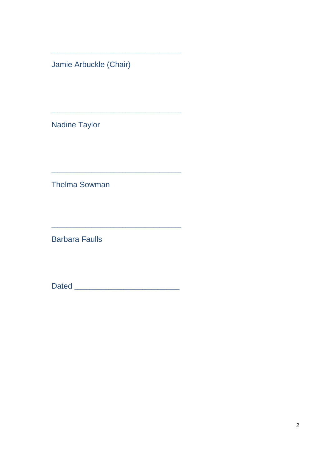Jamie Arbuckle (Chair)

**Nadine Taylor** 

**Thelma Sowman** 

**Barbara Faulls**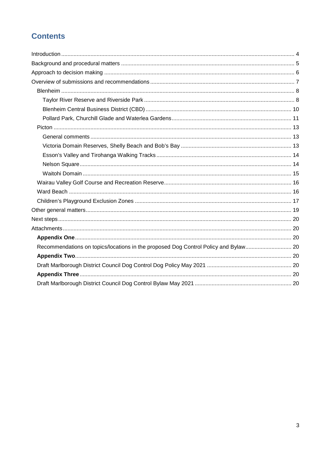# **Contents**

| Recommendations on topics/locations in the proposed Dog Control Policy and Bylaw |  |
|----------------------------------------------------------------------------------|--|
|                                                                                  |  |
|                                                                                  |  |
|                                                                                  |  |
|                                                                                  |  |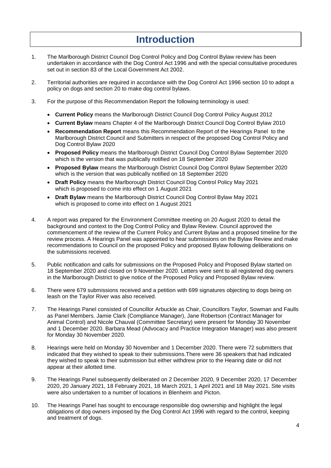# **Introduction**

- <span id="page-3-0"></span>1. The Marlborough District Council Dog Control Policy and Dog Control Bylaw review has been undertaken in accordance with the Dog Control Act 1996 and with the special consultative procedures set out in section 83 of the Local Government Act 2002.
- 2. Territorial authorities are required in accordance with the Dog Control Act 1996 section 10 to adopt a policy on dogs and section 20 to make dog control bylaws.
- 3. For the purpose of this Recommendation Report the following terminology is used:
	- **Current Policy** means the Marlborough District Council Dog Control Policy August 2012
	- **Current Bylaw** means Chapter 4 of the Marlborough District Council Dog Control Bylaw 2010
	- **Recommendation Report** means this Recommendation Report of the Hearings Panel to the Marlborough District Council and Submitters in respect of the proposed Dog Control Policy and Dog Control Bylaw 2020
	- **Proposed Policy** means the Marlborough District Council Dog Control Bylaw September 2020 which is the version that was publically notified on 18 September 2020
	- **Proposed Bylaw** means the Marlborough District Council Dog Control Bylaw September 2020 which is the version that was publically notified on 18 September 2020
	- **Draft Policy** means the Marlborough District Council Dog Control Policy May 2021 which is proposed to come into effect on 1 August 2021
	- **Draft Bylaw** means the Marlborough District Council Dog Control Bylaw May 2021 which is proposed to come into effect on 1 August 2021
- 4. A report was prepared for the Environment Committee meeting on 20 August 2020 to detail the background and context to the Dog Control Policy and Bylaw Review. Council approved the commencement of the review of the Current Policy and Current Bylaw and a proposed timeline for the review process. A Hearings Panel was appointed to hear submissions on the Bylaw Review and make recommendations to Council on the proposed Policy and proposed Bylaw following deliberations on the submissions received.
- 5. Public notification and calls for submissions on the Proposed Policy and Proposed Bylaw started on 18 September 2020 and closed on 9 November 2020. Letters were sent to all registered dog owners in the Marlborough District to give notice of the Proposed Policy and Proposed Bylaw review.
- 6. There were 679 submissions received and a petition with 699 signatures objecting to dogs being on leash on the Taylor River was also received.
- 7. The Hearings Panel consisted of Councillor Arbuckle as Chair, Councillors Taylor, Sowman and Faulls as Panel Members. Jamie Clark (Compliance Manager), Jane Robertson (Contract Manager for Animal Control) and Nicole Chauval (Committee Secretary) were present for Monday 30 November and 1 December 2020. Barbara Mead (Advocacy and Practice Integration Manager) was also present for Monday 30 November 2020.
- 8. Hearings were held on Monday 30 November and 1 December 2020. There were 72 submitters that indicated that they wished to speak to their submissions.There were 36 speakers that had indicated they wished to speak to their submission but either withdrew prior to the Hearing date or did not appear at their allotted time.
- 9. The Hearings Panel subsequently deliberated on 2 December 2020, 9 December 2020, 17 December 2020, 20 January 2021, 18 February 2021, 18 March 2021, 1 April 2021 and 18 May 2021. Site visits were also undertaken to a number of locations in Blenheim and Picton.
- 10. The Hearings Panel has sought to encourage responsible dog ownership and highlight the legal obligations of dog owners imposed by the Dog Control Act 1996 with regard to the control, keeping and treatment of dogs.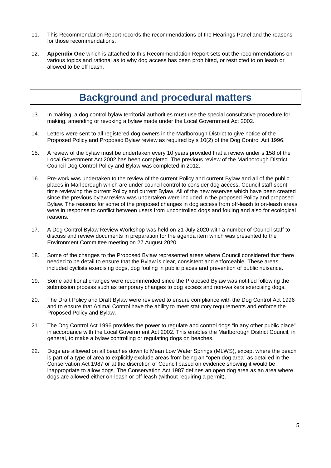- 11. This Recommendation Report records the recommendations of the Hearings Panel and the reasons for those recommendations.
- 12. **Appendix One** which is attached to this Recommendation Report sets out the recommendations on various topics and rational as to why dog access has been prohibited, or restricted to on leash or allowed to be off leash.

# **Background and procedural matters**

- <span id="page-4-0"></span>13. In making, a dog control bylaw territorial authorities must use the special consultative procedure for making, amending or revoking a bylaw made under the Local Government Act 2002.
- 14. Letters were sent to all registered dog owners in the Marlborough District to give notice of the Proposed Policy and Proposed Bylaw review as required by s 10(2) of the Dog Control Act 1996.
- 15. A review of the bylaw must be undertaken every 10 years provided that a review under s 158 of the Local Government Act 2002 has been completed. The previous review of the Marlborough District Council Dog Control Policy and Bylaw was completed in 2012.
- 16. Pre-work was undertaken to the review of the current Policy and current Bylaw and all of the public places in Marlborough which are under council control to consider dog access. Council staff spent time reviewing the current Policy and current Bylaw. All of the new reserves which have been created since the previous bylaw review was undertaken were included in the proposed Policy and proposed Bylaw. The reasons for some of the proposed changes in dog access from off-leash to on-leash areas were in response to conflict between users from uncontrolled dogs and fouling and also for ecological reasons.
- 17. A Dog Control Bylaw Review Workshop was held on 21 July 2020 with a number of Council staff to discuss and review documents in preparation for the agenda item which was presented to the Environment Committee meeting on 27 August 2020.
- 18. Some of the changes to the Proposed Bylaw represented areas where Council considered that there needed to be detail to ensure that the Bylaw is clear, consistent and enforceable. These areas included cyclists exercising dogs, dog fouling in public places and prevention of public nuisance.
- 19. Some additional changes were recommended since the Proposed Bylaw was notified following the submission process such as temporary changes to dog access and non-walkers exercising dogs.
- 20. The Draft Policy and Draft Bylaw were reviewed to ensure compliance with the Dog Control Act 1996 and to ensure that Animal Control have the ability to meet statutory requirements and enforce the Proposed Policy and Bylaw.
- 21. The Dog Control Act 1996 provides the power to regulate and control dogs "in any other public place" in accordance with the Local Government Act 2002. This enables the Marlborough District Council, in general, to make a bylaw controlling or regulating dogs on beaches.
- 22. Dogs are allowed on all beaches down to Mean Low Water Springs (MLWS), except where the beach is part of a type of area to explicitly exclude areas from being an "open dog area" as detailed in the Conservation Act 1987 or at the discretion of Council based on evidence showing it would be inappropriate to allow dogs. The Conservation Act 1987 defines an open dog area as an area where dogs are allowed either on-leash or off-leash (without requiring a permit).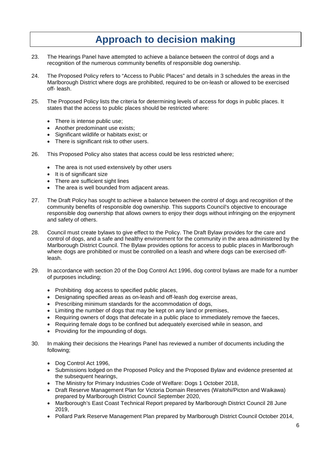# **Approach to decision making**

- <span id="page-5-0"></span>23. The Hearings Panel have attempted to achieve a balance between the control of dogs and a recognition of the numerous community benefits of responsible dog ownership.
- 24. The Proposed Policy refers to "Access to Public Places" and details in 3 schedules the areas in the Marlborough District where dogs are prohibited, required to be on-leash or allowed to be exercised off- leash.
- 25. The Proposed Policy lists the criteria for determining levels of access for dogs in public places. It states that the access to public places should be restricted where:
	- There is intense public use:
	- Another predominant use exists;
	- Significant wildlife or habitats exist; or
	- There is significant risk to other users.
- 26. This Proposed Policy also states that access could be less restricted where;
	- The area is not used extensively by other users
	- It is of significant size
	- There are sufficient sight lines
	- The area is well bounded from adjacent areas.
- 27. The Draft Policy has sought to achieve a balance between the control of dogs and recognition of the community benefits of responsible dog ownership. This supports Council's objective to encourage responsible dog ownership that allows owners to enjoy their dogs without infringing on the enjoyment and safety of others.
- 28. Council must create bylaws to give effect to the Policy. The Draft Bylaw provides for the care and control of dogs, and a safe and healthy environment for the community in the area administered by the Marlborough District Council. The Bylaw provides options for access to public places in Marlborough where dogs are prohibited or must be controlled on a leash and where dogs can be exercised offleash.
- 29. In accordance with section 20 of the Dog Control Act 1996, dog control bylaws are made for a number of purposes including;
	- Prohibiting dog access to specified public places,
	- Designating specified areas as on-leash and off-leash dog exercise areas,
	- Prescribing minimum standards for the accommodation of dogs,
	- Limiting the number of dogs that may be kept on any land or premises,
	- Requiring owners of dogs that defecate in a public place to immediately remove the faeces,
	- Requiring female dogs to be confined but adequately exercised while in season, and
	- Providing for the impounding of dogs.
- 30. In making their decisions the Hearings Panel has reviewed a number of documents including the following;
	- Dog Control Act 1996,
	- Submissions lodged on the Proposed Policy and the Proposed Bylaw and evidence presented at the subsequent hearings,
	- The Ministry for Primary Industries Code of Welfare: Dogs 1 October 2018,
	- Draft Reserve Management Plan for Victoria Domain Reserves (Waitohi/Picton and Waikawa) prepared by Marlborough District Council September 2020,
	- Marlborough's East Coast Technical Report prepared by Marlborough District Council 28 June 2019,
	- Pollard Park Reserve Management Plan prepared by Marlborough District Council October 2014,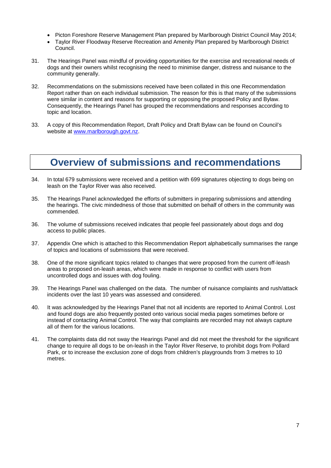- Picton Foreshore Reserve Management Plan prepared by Marlborough District Council May 2014;
- Taylor River Floodway Reserve Recreation and Amenity Plan prepared by Marlborough District Council.
- 31. The Hearings Panel was mindful of providing opportunities for the exercise and recreational needs of dogs and their owners whilst recognising the need to minimise danger, distress and nuisance to the community generally.
- 32. Recommendations on the submissions received have been collated in this one Recommendation Report rather than on each individual submission. The reason for this is that many of the submissions were similar in content and reasons for supporting or opposing the proposed Policy and Bylaw. Consequently, the Hearings Panel has grouped the recommendations and responses according to topic and location.
- 33. A copy of this Recommendation Report, Draft Policy and Draft Bylaw can be found on Council's website at [www.marlborough.govt.nz.](http://www.marlborough.govt.nz/)

# <span id="page-6-0"></span>**Overview of submissions and recommendations**

- 34. In total 679 submissions were received and a petition with 699 signatures objecting to dogs being on leash on the Taylor River was also received.
- 35. The Hearings Panel acknowledged the efforts of submitters in preparing submissions and attending the hearings. The civic mindedness of those that submitted on behalf of others in the community was commended.
- 36. The volume of submissions received indicates that people feel passionately about dogs and dog access to public places.
- 37. Appendix One which is attached to this Recommendation Report alphabetically summarises the range of topics and locations of submissions that were received.
- 38. One of the more significant topics related to changes that were proposed from the current off-leash areas to proposed on-leash areas, which were made in response to conflict with users from uncontrolled dogs and issues with dog fouling.
- 39. The Hearings Panel was challenged on the data. The number of nuisance complaints and rush/attack incidents over the last 10 years was assessed and considered.
- 40. It was acknowledged by the Hearings Panel that not all incidents are reported to Animal Control. Lost and found dogs are also frequently posted onto various social media pages sometimes before or instead of contacting Animal Control. The way that complaints are recorded may not always capture all of them for the various locations.
- 41. The complaints data did not sway the Hearings Panel and did not meet the threshold for the significant change to require all dogs to be on-leash in the Taylor River Reserve, to prohibit dogs from Pollard Park, or to increase the exclusion zone of dogs from children's playgrounds from 3 metres to 10 metres.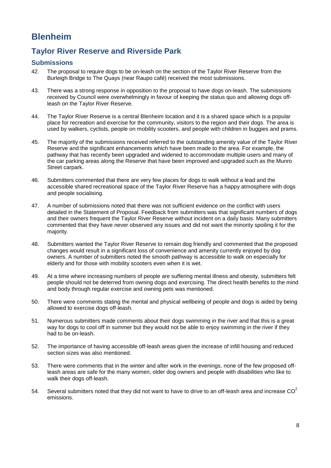# <span id="page-7-0"></span>**Blenheim**

# <span id="page-7-1"></span>**Taylor River Reserve and Riverside Park**

### **Submissions**

- 42. The proposal to require dogs to be on-leash on the section of the Taylor River Reserve from the Burleigh Bridge to The Quays (near Raupo café) received the most submissions.
- 43. There was a strong response in opposition to the proposal to have dogs on-leash. The submissions received by Council were overwhelmingly in favour of keeping the status quo and allowing dogs offleash on the Taylor River Reserve.
- 44. The Taylor River Reserve is a central Blenheim location and it is a shared space which is a popular place for recreation and exercise for the community, visitors to the region and their dogs. The area is used by walkers, cyclists, people on mobility scooters, and people with children in buggies and prams.
- 45. The majority of the submissions received referred to the outstanding amenity value of the Taylor River Reserve and the significant enhancements which have been made to the area. For example, the pathway that has recently been upgraded and widened to accommodate multiple users and many of the car parking areas along the Reserve that have been improved and upgraded such as the Munro Street carpark.
- 46. Submitters commented that there are very few places for dogs to walk without a lead and the accessible shared recreational space of the Taylor River Reserve has a happy atmosphere with dogs and people socialising.
- 47. A number of submissions noted that there was not sufficient evidence on the conflict with users detailed in the Statement of Proposal. Feedback from submitters was that significant numbers of dogs and their owners frequent the Taylor River Reserve without incident on a daily basis. Many submitters commented that they have never observed any issues and did not want the minority spoiling it for the majority.
- 48. Submitters wanted the Taylor River Reserve to remain dog friendly and commented that the proposed changes would result in a significant loss of convenience and amenity currently enjoyed by dog owners. A number of submitters noted the smooth pathway is accessible to walk on especially for elderly and for those with mobility scooters even when it is wet.
- 49. At a time where increasing numbers of people are suffering mental illness and obesity, submitters felt people should not be deterred from owning dogs and exercising. The direct health benefits to the mind and body through regular exercise and owning pets was mentioned.
- 50. There were comments stating the mental and physical wellbeing of people and dogs is aided by being allowed to exercise dogs off-leash.
- 51. Numerous submitters made comments about their dogs swimming in the river and that this is a great way for dogs to cool off in summer but they would not be able to enjoy swimming in the river if they had to be on-leash.
- 52. The importance of having accessible off-leash areas given the increase of infill housing and reduced section sizes was also mentioned.
- 53. There were comments that in the winter and after work in the evenings, none of the few proposed offleash areas are safe for the many women, older dog owners and people with disabilities who like to walk their dogs off-leash.
- 54. Several submitters noted that they did not want to have to drive to an off-leash area and increase  $CO<sup>2</sup>$ emissions.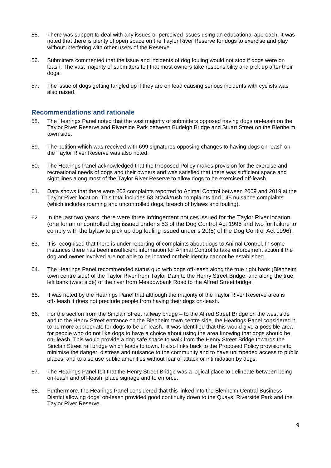- 55. There was support to deal with any issues or perceived issues using an educational approach. It was noted that there is plenty of open space on the Taylor River Reserve for dogs to exercise and play without interfering with other users of the Reserve.
- 56. Submitters commented that the issue and incidents of dog fouling would not stop if dogs were on leash. The vast majority of submitters felt that most owners take responsibility and pick up after their dogs.
- 57. The issue of dogs getting tangled up if they are on lead causing serious incidents with cyclists was also raised.

### **Recommendations and rationale**

- 58. The Hearings Panel noted that the vast majority of submitters opposed having dogs on-leash on the Taylor River Reserve and Riverside Park between Burleigh Bridge and Stuart Street on the Blenheim town side.
- 59. The petition which was received with 699 signatures opposing changes to having dogs on-leash on the Taylor River Reserve was also noted.
- 60. The Hearings Panel acknowledged that the Proposed Policy makes provision for the exercise and recreational needs of dogs and their owners and was satisfied that there was sufficient space and sight lines along most of the Taylor River Reserve to allow dogs to be exercised off-leash.
- 61. Data shows that there were 203 complaints reported to Animal Control between 2009 and 2019 at the Taylor River location. This total includes 58 attack/rush complaints and 145 nuisance complaints (which includes roaming and uncontrolled dogs, breach of bylaws and fouling).
- 62. In the last two years, there were three infringement notices issued for the Taylor River location (one for an uncontrolled dog issued under s 53 of the Dog Control Act 1996 and two for failure to comply with the bylaw to pick up dog fouling issued under s 20(5) of the Dog Control Act 1996).
- 63. It is recognised that there is under reporting of complaints about dogs to Animal Control. In some instances there has been insufficient information for Animal Control to take enforcement action if the dog and owner involved are not able to be located or their identity cannot be established.
- 64. The Hearings Panel recommended status quo with dogs off-leash along the true right bank (Blenheim town centre side) of the Taylor River from Taylor Dam to the Henry Street Bridge; and along the true left bank (west side) of the river from Meadowbank Road to the Alfred Street bridge.
- 65. It was noted by the Hearings Panel that although the majority of the Taylor River Reserve area is off- leash it does not preclude people from having their dogs on-leash.
- 66. For the section from the Sinclair Street railway bridge to the Alfred Street Bridge on the west side and to the Henry Street entrance on the Blenheim town centre side, the Hearings Panel considered it to be more appropriate for dogs to be on-leash. It was identified that this would give a possible area for people who do not like dogs to have a choice about using the area knowing that dogs should be on- leash. This would provide a dog safe space to walk from the Henry Street Bridge towards the Sinclair Street rail bridge which leads to town. It also links back to the Proposed Policy provisions to minimise the danger, distress and nuisance to the community and to have unimpeded access to public places, and to also use public amenities without fear of attack or intimidation by dogs.
- 67. The Hearings Panel felt that the Henry Street Bridge was a logical place to delineate between being on-leash and off-leash, place signage and to enforce.
- 68. Furthermore, the Hearings Panel considered that this linked into the Blenheim Central Business District allowing dogs' on-leash provided good continuity down to the Quays, Riverside Park and the Taylor River Reserve.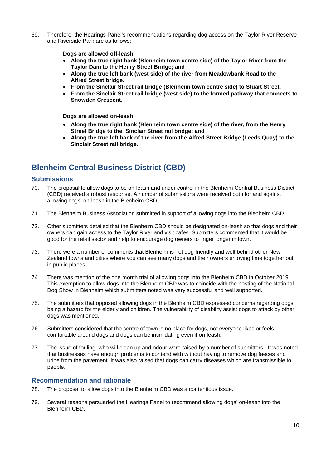69. Therefore, the Hearings Panel's recommendations regarding dog access on the Taylor River Reserve and Riverside Park are as follows;

**Dogs are allowed off-leash** 

- **Along the true right bank (Blenheim town centre side) of the Taylor River from the Taylor Dam to the Henry Street Bridge; and**
- **Along the true left bank (west side) of the river from Meadowbank Road to the Alfred Street bridge.**
- **From the Sinclair Street rail bridge (Blenheim town centre side) to Stuart Street.**
- **From the Sinclair Street rail bridge (west side) to the formed pathway that connects to Snowden Crescent.**

**Dogs are allowed on-leash** 

- **Along the true right bank (Blenheim town centre side) of the river, from the Henry Street Bridge to the Sinclair Street rail bridge; and**
- **Along the true left bank of the river from the Alfred Street Bridge (Leeds Quay) to the Sinclair Street rail bridge.**

# <span id="page-9-0"></span>**Blenheim Central Business District (CBD)**

### **Submissions**

- 70. The proposal to allow dogs to be on-leash and under control in the Blenheim Central Business District (CBD) received a robust response. A number of submissions were received both for and against allowing dogs' on-leash in the Blenheim CBD.
- 71. The Blenheim Business Association submitted in support of allowing dogs into the Blenheim CBD.
- 72. Other submitters detailed that the Blenheim CBD should be designated on-leash so that dogs and their owners can gain access to the Taylor River and visit cafes. Submitters commented that it would be good for the retail sector and help to encourage dog owners to linger longer in town.
- 73. There were a number of comments that Blenheim is not dog friendly and well behind other New Zealand towns and cities where you can see many dogs and their owners enjoying time together out in public places.
- 74. There was mention of the one month trial of allowing dogs into the Blenheim CBD in October 2019. This exemption to allow dogs into the Blenheim CBD was to coincide with the hosting of the National Dog Show in Blenheim which submitters noted was very successful and well supported.
- 75. The submitters that opposed allowing dogs in the Blenheim CBD expressed concerns regarding dogs being a hazard for the elderly and children. The vulnerability of disability assist dogs to attack by other dogs was mentioned.
- 76. Submitters considered that the centre of town is no place for dogs, not everyone likes or feels comfortable around dogs and dogs can be intimidating even if on-leash.
- 77. The issue of fouling, who will clean up and odour were raised by a number of submitters. It was noted that businesses have enough problems to contend with without having to remove dog faeces and urine from the pavement. It was also raised that dogs can carry diseases which are transmissible to people.

### **Recommendation and rationale**

- 78. The proposal to allow dogs into the Blenheim CBD was a contentious issue.
- 79. Several reasons persuaded the Hearings Panel to recommend allowing dogs' on-leash into the Blenheim CBD.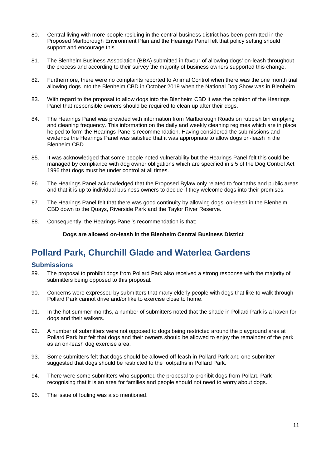- 80. Central living with more people residing in the central business district has been permitted in the Proposed Marlborough Environment Plan and the Hearings Panel felt that policy setting should support and encourage this.
- 81. The Blenheim Business Association (BBA) submitted in favour of allowing dogs' on-leash throughout the process and according to their survey the majority of business owners supported this change.
- 82. Furthermore, there were no complaints reported to Animal Control when there was the one month trial allowing dogs into the Blenheim CBD in October 2019 when the National Dog Show was in Blenheim.
- 83. With regard to the proposal to allow dogs into the Blenheim CBD it was the opinion of the Hearings Panel that responsible owners should be required to clean up after their dogs.
- 84. The Hearings Panel was provided with information from Marlborough Roads on rubbish bin emptying and cleaning frequency. This information on the daily and weekly cleaning regimes which are in place helped to form the Hearings Panel's recommendation. Having considered the submissions and evidence the Hearings Panel was satisfied that it was appropriate to allow dogs on-leash in the Blenheim CBD.
- 85. It was acknowledged that some people noted vulnerability but the Hearings Panel felt this could be managed by compliance with dog owner obligations which are specified in s 5 of the Dog Control Act 1996 that dogs must be under control at all times.
- 86. The Hearings Panel acknowledged that the Proposed Bylaw only related to footpaths and public areas and that it is up to individual business owners to decide if they welcome dogs into their premises.
- 87. The Hearings Panel felt that there was good continuity by allowing dogs' on-leash in the Blenheim CBD down to the Quays, Riverside Park and the Taylor River Reserve.
- 88. Consequently, the Hearings Panel's recommendation is that;

**Dogs are allowed on-leash in the Blenheim Central Business District**

# <span id="page-10-0"></span>**Pollard Park, Churchill Glade and Waterlea Gardens**

#### **Submissions**

- 89. The proposal to prohibit dogs from Pollard Park also received a strong response with the majority of submitters being opposed to this proposal.
- 90. Concerns were expressed by submitters that many elderly people with dogs that like to walk through Pollard Park cannot drive and/or like to exercise close to home.
- 91. In the hot summer months, a number of submitters noted that the shade in Pollard Park is a haven for dogs and their walkers.
- 92. A number of submitters were not opposed to dogs being restricted around the playground area at Pollard Park but felt that dogs and their owners should be allowed to enjoy the remainder of the park as an on-leash dog exercise area.
- 93. Some submitters felt that dogs should be allowed off-leash in Pollard Park and one submitter suggested that dogs should be restricted to the footpaths in Pollard Park.
- 94. There were some submitters who supported the proposal to prohibit dogs from Pollard Park recognising that it is an area for families and people should not need to worry about dogs.
- 95. The issue of fouling was also mentioned.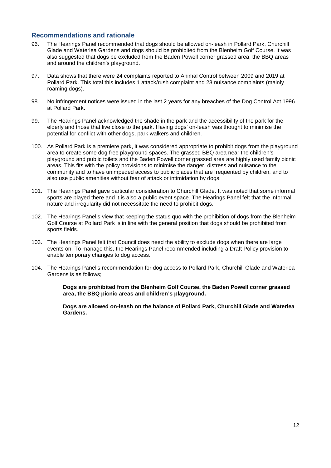### **Recommendations and rationale**

- 96. The Hearings Panel recommended that dogs should be allowed on-leash in Pollard Park, Churchill Glade and Waterlea Gardens and dogs should be prohibited from the Blenheim Golf Course. It was also suggested that dogs be excluded from the Baden Powell corner grassed area, the BBQ areas and around the children's playground.
- 97. Data shows that there were 24 complaints reported to Animal Control between 2009 and 2019 at Pollard Park. This total this includes 1 attack/rush complaint and 23 nuisance complaints (mainly roaming dogs).
- 98. No infringement notices were issued in the last 2 years for any breaches of the Dog Control Act 1996 at Pollard Park.
- 99. The Hearings Panel acknowledged the shade in the park and the accessibility of the park for the elderly and those that live close to the park. Having dogs' on-leash was thought to minimise the potential for conflict with other dogs, park walkers and children.
- 100. As Pollard Park is a premiere park, it was considered appropriate to prohibit dogs from the playground area to create some dog free playground spaces. The grassed BBQ area near the children's playground and public toilets and the Baden Powell corner grassed area are highly used family picnic areas. This fits with the policy provisions to minimise the danger, distress and nuisance to the community and to have unimpeded access to public places that are frequented by children, and to also use public amenities without fear of attack or intimidation by dogs.
- 101. The Hearings Panel gave particular consideration to Churchill Glade. It was noted that some informal sports are played there and it is also a public event space. The Hearings Panel felt that the informal nature and irregularity did not necessitate the need to prohibit dogs.
- 102. The Hearings Panel's view that keeping the status quo with the prohibition of dogs from the Blenheim Golf Course at Pollard Park is in line with the general position that dogs should be prohibited from sports fields.
- 103. The Hearings Panel felt that Council does need the ability to exclude dogs when there are large events on. To manage this, the Hearings Panel recommended including a Draft Policy provision to enable temporary changes to dog access.
- 104. The Hearings Panel's recommendation for dog access to Pollard Park, Churchill Glade and Waterlea Gardens is as follows;

**Dogs are prohibited from the Blenheim Golf Course, the Baden Powell corner grassed area, the BBQ picnic areas and children's playground.**

**Dogs are allowed on-leash on the balance of Pollard Park, Churchill Glade and Waterlea Gardens.**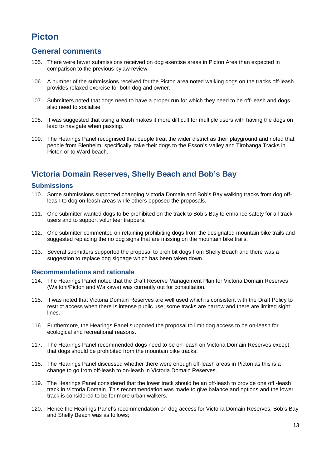# <span id="page-12-0"></span>**Picton**

### <span id="page-12-1"></span>**General comments**

- 105. There were fewer submissions received on dog exercise areas in Picton Area than expected in comparison to the previous bylaw review.
- 106. A number of the submissions received for the Picton area noted walking dogs on the tracks off-leash provides relaxed exercise for both dog and owner.
- 107. Submitters noted that dogs need to have a proper run for which they need to be off-leash and dogs also need to socialise.
- 108. It was suggested that using a leash makes it more difficult for multiple users with having the dogs on lead to navigate when passing.
- 109. The Hearings Panel recognised that people treat the wider district as their playground and noted that people from Blenheim, specifically, take their dogs to the Esson's Valley and Tirohanga Tracks in Picton or to Ward beach.

# <span id="page-12-2"></span>**Victoria Domain Reserves, Shelly Beach and Bob's Bay**

#### **Submissions**

- 110. Some submissions supported changing Victoria Domain and Bob's Bay walking tracks from dog offleash to dog on-leash areas while others opposed the proposals.
- 111. One submitter wanted dogs to be prohibited on the track to Bob's Bay to enhance safety for all track users and to support volunteer trappers.
- 112. One submitter commented on retaining prohibiting dogs from the designated mountain bike trails and suggested replacing the no dog signs that are missing on the mountain bike trails.
- 113. Several submitters supported the proposal to prohibit dogs from Shelly Beach and there was a suggestion to replace dog signage which has been taken down.

### **Recommendations and rationale**

- 114. The Hearings Panel noted that the Draft Reserve Management Plan for Victoria Domain Reserves (Waitohi/Picton and Waikawa) was currently out for consultation.
- 115. It was noted that Victoria Domain Reserves are well used which is consistent with the Draft Policy to restrict access when there is intense public use, some tracks are narrow and there are limited sight lines.
- 116. Furthermore, the Hearings Panel supported the proposal to limit dog access to be on-leash for ecological and recreational reasons.
- 117. The Hearings Panel recommended dogs need to be on-leash on Victoria Domain Reserves except that dogs should be prohibited from the mountain bike tracks.
- 118. The Hearings Panel discussed whether there were enough off-leash areas in Picton as this is a change to go from off-leash to on-leash in Victoria Domain Reserves.
- 119. The Hearings Panel considered that the lower track should be an off-leash to provide one off -leash track in Victoria Domain. This recommendation was made to give balance and options and the lower track is considered to be for more urban walkers.
- 120. Hence the Hearings Panel's recommendation on dog access for Victoria Domain Reserves, Bob's Bay and Shelly Beach was as follows;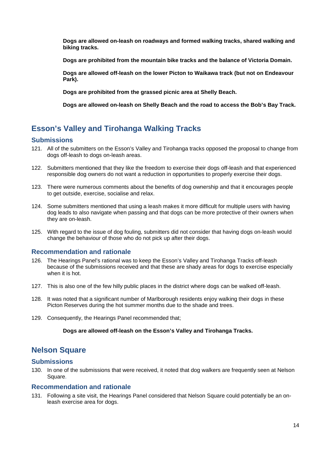**Dogs are allowed on-leash on roadways and formed walking tracks, shared walking and biking tracks.**

**Dogs are prohibited from the mountain bike tracks and the balance of Victoria Domain.**

**Dogs are allowed off-leash on the lower Picton to Waikawa track (but not on Endeavour Park).** 

**Dogs are prohibited from the grassed picnic area at Shelly Beach.**

**Dogs are allowed on-leash on Shelly Beach and the road to access the Bob's Bay Track.**

# <span id="page-13-0"></span>**Esson's Valley and Tirohanga Walking Tracks**

### **Submissions**

- 121. All of the submitters on the Esson's Valley and Tirohanga tracks opposed the proposal to change from dogs off-leash to dogs on-leash areas.
- 122. Submitters mentioned that they like the freedom to exercise their dogs off-leash and that experienced responsible dog owners do not want a reduction in opportunities to properly exercise their dogs.
- 123. There were numerous comments about the benefits of dog ownership and that it encourages people to get outside, exercise, socialise and relax.
- 124. Some submitters mentioned that using a leash makes it more difficult for multiple users with having dog leads to also navigate when passing and that dogs can be more protective of their owners when they are on-leash.
- 125. With regard to the issue of dog fouling, submitters did not consider that having dogs on-leash would change the behaviour of those who do not pick up after their dogs.

### **Recommendation and rationale**

- 126. The Hearings Panel's rational was to keep the Esson's Valley and Tirohanga Tracks off-leash because of the submissions received and that these are shady areas for dogs to exercise especially when it is hot.
- 127. This is also one of the few hilly public places in the district where dogs can be walked off-leash.
- 128. It was noted that a significant number of Marlborough residents enjoy walking their dogs in these Picton Reserves during the hot summer months due to the shade and trees.
- 129. Consequently, the Hearings Panel recommended that;

#### **Dogs are allowed off-leash on the Esson's Valley and Tirohanga Tracks.**

### <span id="page-13-1"></span>**Nelson Square**

#### **Submissions**

130. In one of the submissions that were received, it noted that dog walkers are frequently seen at Nelson Square.

#### **Recommendation and rationale**

131. Following a site visit, the Hearings Panel considered that Nelson Square could potentially be an onleash exercise area for dogs.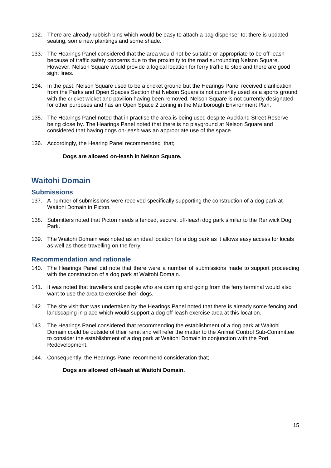- 132. There are already rubbish bins which would be easy to attach a bag dispenser to; there is updated seating, some new plantings and some shade.
- 133. The Hearings Panel considered that the area would not be suitable or appropriate to be off-leash because of traffic safety concerns due to the proximity to the road surrounding Nelson Square. However, Nelson Square would provide a logical location for ferry traffic to stop and there are good sight lines.
- 134. In the past, Nelson Square used to be a cricket ground but the Hearings Panel received clarification from the Parks and Open Spaces Section that Nelson Square is not currently used as a sports ground with the cricket wicket and pavilion having been removed. Nelson Square is not currently designated for other purposes and has an Open Space 2 zoning in the Marlborough Environment Plan.
- 135. The Hearings Panel noted that in practise the area is being used despite Auckland Street Reserve being close by. The Hearings Panel noted that there is no playground at Nelson Square and considered that having dogs on-leash was an appropriate use of the space.
- 136. Accordingly, the Hearing Panel recommended that;

**Dogs are allowed on-leash in Nelson Square.**

# <span id="page-14-0"></span>**Waitohi Domain**

### **Submissions**

- 137. A number of submissions were received specifically supporting the construction of a dog park at Waitohi Domain in Picton.
- 138. Submitters noted that Picton needs a fenced, secure, off-leash dog park similar to the Renwick Dog Park.
- 139. The Waitohi Domain was noted as an ideal location for a dog park as it allows easy access for locals as well as those travelling on the ferry.

### **Recommendation and rationale**

- 140. The Hearings Panel did note that there were a number of submissions made to support proceeding with the construction of a dog park at Waitohi Domain.
- 141. It was noted that travellers and people who are coming and going from the ferry terminal would also want to use the area to exercise their dogs.
- 142. The site visit that was undertaken by the Hearings Panel noted that there is already some fencing and landscaping in place which would support a dog off-leash exercise area at this location.
- 143. The Hearings Panel considered that recommending the establishment of a dog park at Waitohi Domain could be outside of their remit and will refer the matter to the Animal Control Sub-Committee to consider the establishment of a dog park at Waitohi Domain in conjunction with the Port Redevelopment.
- 144. Consequently, the Hearings Panel recommend consideration that:

#### **Dogs are allowed off-leash at Waitohi Domain.**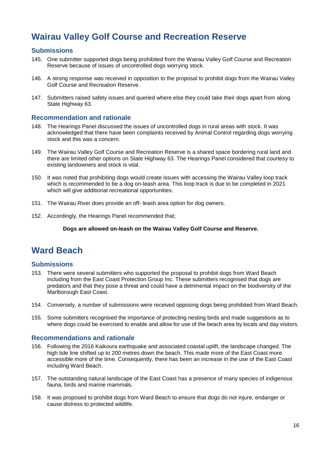# <span id="page-15-0"></span>**Wairau Valley Golf Course and Recreation Reserve**

### **Submissions**

- 145. One submitter supported dogs being prohibited from the Wairau Valley Golf Course and Recreation Reserve because of issues of uncontrolled dogs worrying stock.
- 146. A strong response was received in opposition to the proposal to prohibit dogs from the Wairau Valley Golf Course and Recreation Reserve.
- 147. Submitters raised safety issues and queried where else they could take their dogs apart from along State Highway 63.

#### **Recommendation and rationale**

- 148. The Hearings Panel discussed the issues of uncontrolled dogs in rural areas with stock. It was acknowledged that there have been complaints received by Animal Control regarding dogs worrying stock and this was a concern.
- 149. The Wairau Valley Golf Course and Recreation Reserve is a shared space bordering rural land and there are limited other options on State Highway 63. The Hearings Panel considered that courtesy to existing landowners and stock is vital.
- 150. It was noted that prohibiting dogs would create issues with accessing the Wairau Valley loop track which is recommended to be a dog on-leash area. This loop track is due to be completed in 2021 which will give additional recreational opportunities.
- 151. The Wairau River does provide an off- leash area option for dog owners.
- 152. Accordingly, the Hearings Panel recommended that;

#### **Dogs are allowed on-leash on the Wairau Valley Golf Course and Reserve.**

# <span id="page-15-1"></span>**Ward Beach**

### **Submissions**

- 153. There were several submitters who supported the proposal to prohibit dogs from Ward Beach including from the East Coast Protection Group Inc. These submitters recognised that dogs are predators and that they pose a threat and could have a detrimental impact on the biodiversity of the Marlborough East Coast.
- 154. Conversely, a number of submissions were received opposing dogs being prohibited from Ward Beach.
- 155. Some submitters recognised the importance of protecting nesting birds and made suggestions as to where dogs could be exercised to enable and allow for use of the beach area by locals and day visitors.

#### **Recommendations and rationale**

- 156. Following the 2016 Kaikoura earthquake and associated coastal uplift, the landscape changed. The high tide line shifted up to 200 metres down the beach. This made more of the East Coast more accessible more of the time. Consequently, there has been an increase in the use of the East Coast including Ward Beach.
- 157. The outstanding natural landscape of the East Coast has a presence of many species of indigenous fauna, birds and marine mammals.
- 158. It was proposed to prohibit dogs from Ward Beach to ensure that dogs do not injure, endanger or cause distress to protected wildlife.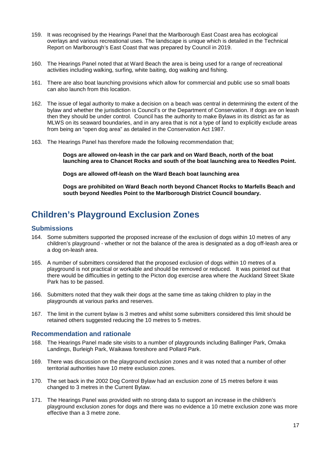- 159. It was recognised by the Hearings Panel that the Marlborough East Coast area has ecological overlays and various recreational uses. The landscape is unique which is detailed in the Technical Report on Marlborough's East Coast that was prepared by Council in 2019.
- 160. The Hearings Panel noted that at Ward Beach the area is being used for a range of recreational activities including walking, surfing, white baiting, dog walking and fishing.
- 161. There are also boat launching provisions which allow for commercial and public use so small boats can also launch from this location.
- 162. The issue of legal authority to make a decision on a beach was central in determining the extent of the bylaw and whether the jurisdiction is Council's or the Department of Conservation. If dogs are on leash then they should be under control. Council has the authority to make Bylaws in its district as far as MLWS on its seaward boundaries, and in any area that is not a type of land to explicitly exclude areas from being an "open dog area" as detailed in the Conservation Act 1987.
- 163. The Hearings Panel has therefore made the following recommendation that;

**Dogs are allowed on-leash in the car park and on Ward Beach, north of the boat launching area to Chancet Rocks and south of the boat launching area to Needles Point.**

**Dogs are allowed off-leash on the Ward Beach boat launching area**

**Dogs are prohibited on Ward Beach north beyond Chancet Rocks to Marfells Beach and south beyond Needles Point to the Marlborough District Council boundary.**

# <span id="page-16-0"></span>**Children's Playground Exclusion Zones**

### **Submissions**

- 164. Some submitters supported the proposed increase of the exclusion of dogs within 10 metres of any children's playground - whether or not the balance of the area is designated as a dog off-leash area or a dog on-leash area.
- 165. A number of submitters considered that the proposed exclusion of dogs within 10 metres of a playground is not practical or workable and should be removed or reduced. It was pointed out that there would be difficulties in getting to the Picton dog exercise area where the Auckland Street Skate Park has to be passed.
- 166. Submitters noted that they walk their dogs at the same time as taking children to play in the playgrounds at various parks and reserves.
- 167. The limit in the current bylaw is 3 metres and whilst some submitters considered this limit should be retained others suggested reducing the 10 metres to 5 metres.

#### **Recommendation and rationale**

- 168. The Hearings Panel made site visits to a number of playgrounds including Ballinger Park, Omaka Landings, Burleigh Park, Waikawa foreshore and Pollard Park.
- 169. There was discussion on the playground exclusion zones and it was noted that a number of other territorial authorities have 10 metre exclusion zones.
- 170. The set back in the 2002 Dog Control Bylaw had an exclusion zone of 15 metres before it was changed to 3 metres in the Current Bylaw.
- 171. The Hearings Panel was provided with no strong data to support an increase in the children's playground exclusion zones for dogs and there was no evidence a 10 metre exclusion zone was more effective than a 3 metre zone.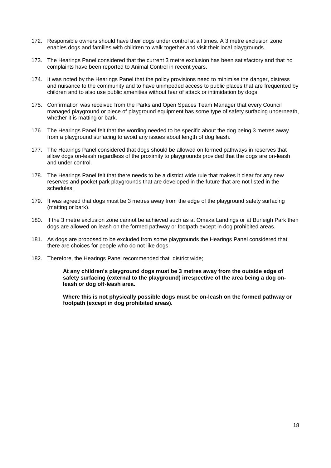- 172. Responsible owners should have their dogs under control at all times. A 3 metre exclusion zone enables dogs and families with children to walk together and visit their local playgrounds.
- 173. The Hearings Panel considered that the current 3 metre exclusion has been satisfactory and that no complaints have been reported to Animal Control in recent years.
- 174. It was noted by the Hearings Panel that the policy provisions need to minimise the danger, distress and nuisance to the community and to have unimpeded access to public places that are frequented by children and to also use public amenities without fear of attack or intimidation by dogs.
- 175. Confirmation was received from the Parks and Open Spaces Team Manager that every Council managed playground or piece of playground equipment has some type of safety surfacing underneath, whether it is matting or bark.
- 176. The Hearings Panel felt that the wording needed to be specific about the dog being 3 metres away from a playground surfacing to avoid any issues about length of dog leash.
- 177. The Hearings Panel considered that dogs should be allowed on formed pathways in reserves that allow dogs on-leash regardless of the proximity to playgrounds provided that the dogs are on-leash and under control.
- 178. The Hearings Panel felt that there needs to be a district wide rule that makes it clear for any new reserves and pocket park playgrounds that are developed in the future that are not listed in the schedules.
- 179. It was agreed that dogs must be 3 metres away from the edge of the playground safety surfacing (matting or bark).
- 180. If the 3 metre exclusion zone cannot be achieved such as at Omaka Landings or at Burleigh Park then dogs are allowed on leash on the formed pathway or footpath except in dog prohibited areas.
- 181. As dogs are proposed to be excluded from some playgrounds the Hearings Panel considered that there are choices for people who do not like dogs.
- 182. Therefore, the Hearings Panel recommended that district wide;

**At any children's playground dogs must be 3 metres away from the outside edge of safety surfacing (external to the playground) irrespective of the area being a dog onleash or dog off-leash area.** 

**Where this is not physically possible dogs must be on-leash on the formed pathway or footpath (except in dog prohibited areas).**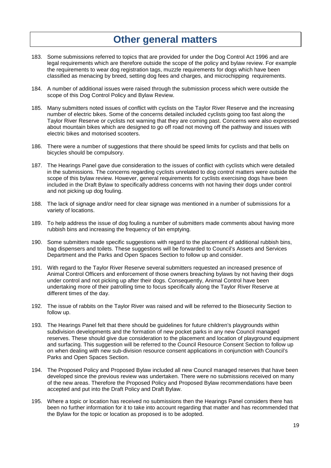# **Other general matters**

- <span id="page-18-0"></span>183. Some submissions referred to topics that are provided for under the Dog Control Act 1996 and are legal requirements which are therefore outside the scope of the policy and bylaw review. For example the requirements to wear dog registration tags, muzzle requirements for dogs which have been classified as menacing by breed, setting dog fees and charges, and microchipping requirements.
- 184. A number of additional issues were raised through the submission process which were outside the scope of this Dog Control Policy and Bylaw Review.
- 185. Many submitters noted issues of conflict with cyclists on the Taylor River Reserve and the increasing number of electric bikes. Some of the concerns detailed included cyclists going too fast along the Taylor River Reserve or cyclists not warning that they are coming past. Concerns were also expressed about mountain bikes which are designed to go off road not moving off the pathway and issues with electric bikes and motorised scooters.
- 186. There were a number of suggestions that there should be speed limits for cyclists and that bells on bicycles should be compulsory.
- 187. The Hearings Panel gave due consideration to the issues of conflict with cyclists which were detailed in the submissions. The concerns regarding cyclists unrelated to dog control matters were outside the scope of this bylaw review. However, general requirements for cyclists exercising dogs have been included in the Draft Bylaw to specifically address concerns with not having their dogs under control and not picking up dog fouling.
- 188. The lack of signage and/or need for clear signage was mentioned in a number of submissions for a variety of locations.
- 189. To help address the issue of dog fouling a number of submitters made comments about having more rubbish bins and increasing the frequency of bin emptying.
- 190. Some submitters made specific suggestions with regard to the placement of additional rubbish bins, bag dispensers and toilets. These suggestions will be forwarded to Council's Assets and Services Department and the Parks and Open Spaces Section to follow up and consider.
- 191. With regard to the Taylor River Reserve several submitters requested an increased presence of Animal Control Officers and enforcement of those owners breaching bylaws by not having their dogs under control and not picking up after their dogs. Consequently, Animal Control have been undertaking more of their patrolling time to focus specifically along the Taylor River Reserve at different times of the day.
- 192. The issue of rabbits on the Taylor River was raised and will be referred to the Biosecurity Section to follow up.
- 193. The Hearings Panel felt that there should be guidelines for future children's playgrounds within subdivision developments and the formation of new pocket parks in any new Council managed reserves. These should give due consideration to the placement and location of playground equipment and surfacing. This suggestion will be referred to the Council Resource Consent Section to follow up on when dealing with new sub-division resource consent applications in conjunction with Council's Parks and Open Spaces Section.
- 194. The Proposed Policy and Proposed Bylaw included all new Council managed reserves that have been developed since the previous review was undertaken. There were no submissions received on many of the new areas. Therefore the Proposed Policy and Proposed Bylaw recommendations have been accepted and put into the Draft Policy and Draft Bylaw.
- 195. Where a topic or location has received no submissions then the Hearings Panel considers there has been no further information for it to take into account regarding that matter and has recommended that the Bylaw for the topic or location as proposed is to be adopted.